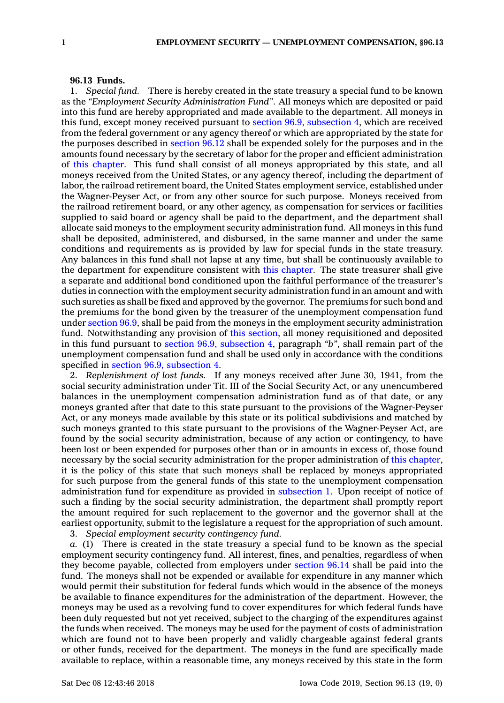## **96.13 Funds.**

1. *Special fund.* There is hereby created in the state treasury <sup>a</sup> special fund to be known as the *"Employment Security Administration Fund"*. All moneys which are deposited or paid into this fund are hereby appropriated and made available to the department. All moneys in this fund, except money received pursuant to section 96.9, [subsection](https://www.legis.iowa.gov/docs/code/96.9.pdf) 4, which are received from the federal government or any agency thereof or which are appropriated by the state for the purposes described in [section](https://www.legis.iowa.gov/docs/code/96.12.pdf) 96.12 shall be expended solely for the purposes and in the amounts found necessary by the secretary of labor for the proper and efficient administration of this [chapter](https://www.legis.iowa.gov/docs/code//96.pdf). This fund shall consist of all moneys appropriated by this state, and all moneys received from the United States, or any agency thereof, including the department of labor, the railroad retirement board, the United States employment service, established under the Wagner-Peyser Act, or from any other source for such purpose. Moneys received from the railroad retirement board, or any other agency, as compensation for services or facilities supplied to said board or agency shall be paid to the department, and the department shall allocate said moneys to the employment security administration fund. All moneys in this fund shall be deposited, administered, and disbursed, in the same manner and under the same conditions and requirements as is provided by law for special funds in the state treasury. Any balances in this fund shall not lapse at any time, but shall be continuously available to the department for expenditure consistent with this [chapter](https://www.legis.iowa.gov/docs/code//96.pdf). The state treasurer shall give <sup>a</sup> separate and additional bond conditioned upon the faithful performance of the treasurer's duties in connection with the employment security administration fund in an amount and with such sureties as shall be fixed and approved by the governor. The premiums for such bond and the premiums for the bond given by the treasurer of the unemployment compensation fund under [section](https://www.legis.iowa.gov/docs/code/96.9.pdf) 96.9, shall be paid from the moneys in the employment security administration fund. Notwithstanding any provision of this [section](https://www.legis.iowa.gov/docs/code/96.13.pdf), all money requisitioned and deposited in this fund pursuant to section 96.9, [subsection](https://www.legis.iowa.gov/docs/code/96.9.pdf) 4, paragraph *"b"*, shall remain part of the unemployment compensation fund and shall be used only in accordance with the conditions specified in section 96.9, [subsection](https://www.legis.iowa.gov/docs/code/96.9.pdf) 4.

2. *Replenishment of lost funds.* If any moneys received after June 30, 1941, from the social security administration under Tit. III of the Social Security Act, or any unencumbered balances in the unemployment compensation administration fund as of that date, or any moneys granted after that date to this state pursuant to the provisions of the Wagner-Peyser Act, or any moneys made available by this state or its political subdivisions and matched by such moneys granted to this state pursuant to the provisions of the Wagner-Peyser Act, are found by the social security administration, because of any action or contingency, to have been lost or been expended for purposes other than or in amounts in excess of, those found necessary by the social security administration for the proper administration of this [chapter](https://www.legis.iowa.gov/docs/code//96.pdf), it is the policy of this state that such moneys shall be replaced by moneys appropriated for such purpose from the general funds of this state to the unemployment compensation administration fund for expenditure as provided in [subsection](https://www.legis.iowa.gov/docs/code/96.13.pdf) 1. Upon receipt of notice of such <sup>a</sup> finding by the social security administration, the department shall promptly report the amount required for such replacement to the governor and the governor shall at the earliest opportunity, submit to the legislature <sup>a</sup> request for the appropriation of such amount.

3. *Special employment security contingency fund.*

*a.* (1) There is created in the state treasury <sup>a</sup> special fund to be known as the special employment security contingency fund. All interest, fines, and penalties, regardless of when they become payable, collected from employers under [section](https://www.legis.iowa.gov/docs/code/96.14.pdf) 96.14 shall be paid into the fund. The moneys shall not be expended or available for expenditure in any manner which would permit their substitution for federal funds which would in the absence of the moneys be available to finance expenditures for the administration of the department. However, the moneys may be used as <sup>a</sup> revolving fund to cover expenditures for which federal funds have been duly requested but not yet received, subject to the charging of the expenditures against the funds when received. The moneys may be used for the payment of costs of administration which are found not to have been properly and validly chargeable against federal grants or other funds, received for the department. The moneys in the fund are specifically made available to replace, within <sup>a</sup> reasonable time, any moneys received by this state in the form